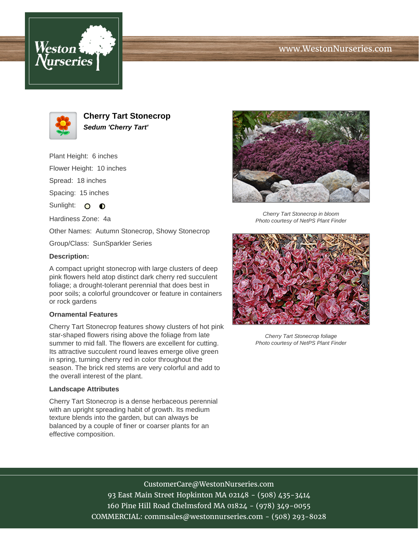# www.WestonNurseries.com





**Cherry Tart Stonecrop Sedum 'Cherry Tart'**

Plant Height: 6 inches

Flower Height: 10 inches

Spread: 18 inches

Spacing: 15 inches

Sunlight: O O

Hardiness Zone: 4a

Other Names: Autumn Stonecrop, Showy Stonecrop

Group/Class: SunSparkler Series

### **Description:**

A compact upright stonecrop with large clusters of deep pink flowers held atop distinct dark cherry red succulent foliage; a drought-tolerant perennial that does best in poor soils; a colorful groundcover or feature in containers or rock gardens

### **Ornamental Features**

Cherry Tart Stonecrop features showy clusters of hot pink star-shaped flowers rising above the foliage from late summer to mid fall. The flowers are excellent for cutting. Its attractive succulent round leaves emerge olive green in spring, turning cherry red in color throughout the season. The brick red stems are very colorful and add to the overall interest of the plant.

### **Landscape Attributes**

Cherry Tart Stonecrop is a dense herbaceous perennial with an upright spreading habit of growth. Its medium texture blends into the garden, but can always be balanced by a couple of finer or coarser plants for an effective composition.



Cherry Tart Stonecrop in bloom Photo courtesy of NetPS Plant Finder



Cherry Tart Stonecrop foliage Photo courtesy of NetPS Plant Finder

CustomerCare@WestonNurseries.com 93 East Main Street Hopkinton MA 02148 - (508) 435-3414 160 Pine Hill Road Chelmsford MA 01824 - (978) 349-0055 COMMERCIAL: commsales@westonnurseries.com - (508) 293-8028